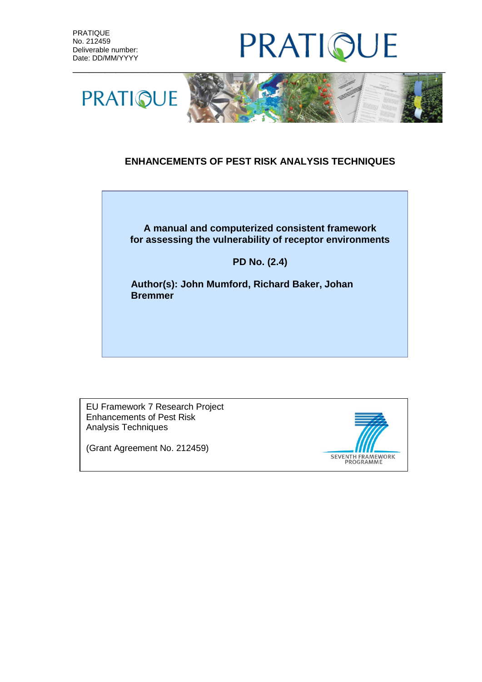# PRATIO JE



### **ENHANCEMENTS OF PEST RISK ANALYSIS TECHNIQUES**



#### **PD No. (2.4)**

**Author(s): John Mumford, Richard Baker, Johan Bremmer**

EU Framework 7 Research Project Enhancements of Pest Risk Analysis Techniques

(Grant Agreement No. 212459)

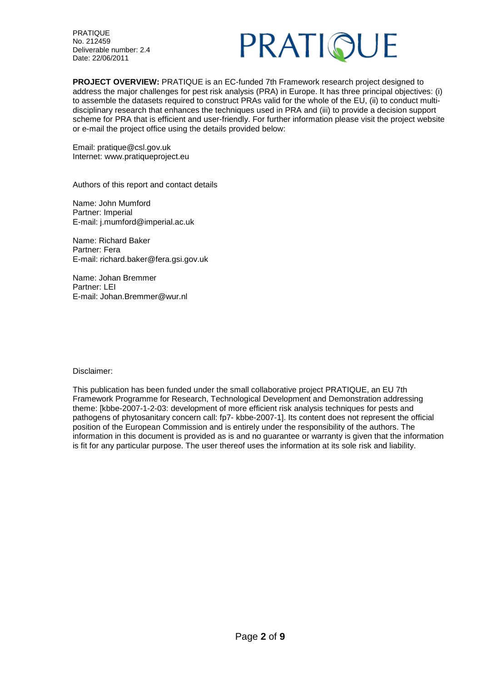

**PROJECT OVERVIEW:** PRATIQUE is an EC-funded 7th Framework research project designed to address the major challenges for pest risk analysis (PRA) in Europe. It has three principal objectives: (i) to assemble the datasets required to construct PRAs valid for the whole of the EU, (ii) to conduct multidisciplinary research that enhances the techniques used in PRA and (iii) to provide a decision support scheme for PRA that is efficient and user-friendly. For further information please visit the project website or e-mail the project office using the details provided below:

Email: pratique@csl.gov.uk Internet: www.pratiqueproject.eu

Authors of this report and contact details

Name: John Mumford Partner: Imperial E-mail: j.mumford@imperial.ac.uk

Name: Richard Baker Partner: Fera E-mail: richard.baker@fera.gsi.gov.uk

Name: Johan Bremmer Partner: LEI E-mail: Johan.Bremmer@wur.nl

Disclaimer:

This publication has been funded under the small collaborative project PRATIQUE, an EU 7th Framework Programme for Research, Technological Development and Demonstration addressing theme: [kbbe-2007-1-2-03: development of more efficient risk analysis techniques for pests and pathogens of phytosanitary concern call: fp7- kbbe-2007-1]. Its content does not represent the official position of the European Commission and is entirely under the responsibility of the authors. The information in this document is provided as is and no guarantee or warranty is given that the information is fit for any particular purpose. The user thereof uses the information at its sole risk and liability.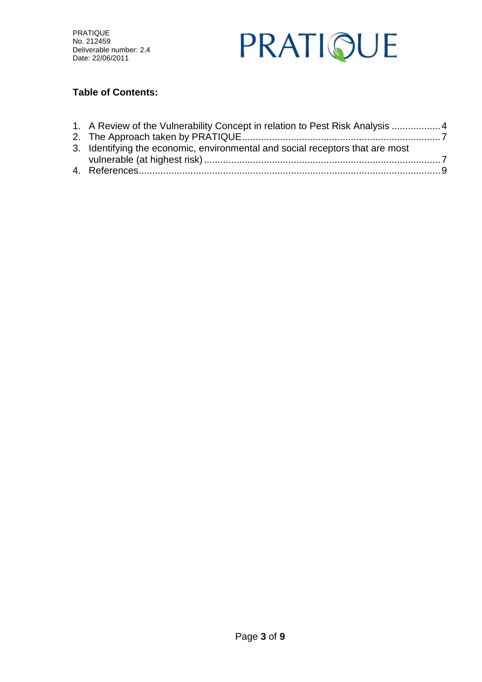

### **Table of Contents:**

| 1. A Review of the Vulnerability Concept in relation to Pest Risk Analysis  4 |  |
|-------------------------------------------------------------------------------|--|
|                                                                               |  |
| 3. Identifying the economic, environmental and social receptors that are most |  |
|                                                                               |  |
|                                                                               |  |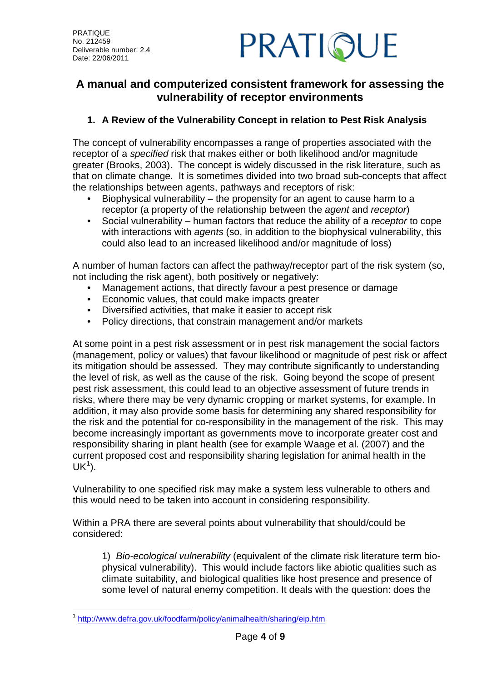

## **A manual and computerized consistent framework for assessing the vulnerability of receptor environments**

### <span id="page-3-0"></span>**1. A Review of the Vulnerability Concept in relation to Pest Risk Analysis**

The concept of vulnerability encompasses a range of properties associated with the receptor of a *specified* risk that makes either or both likelihood and/or magnitude greater (Brooks, 2003). The concept is widely discussed in the risk literature, such as that on climate change. It is sometimes divided into two broad sub-concepts that affect the relationships between agents, pathways and receptors of risk:

- Biophysical vulnerability the propensity for an agent to cause harm to a receptor (a property of the relationship between the *agent* and *receptor*)
- Social vulnerability human factors that reduce the ability of a *receptor* to cope with interactions with *agents* (so, in addition to the biophysical vulnerability, this could also lead to an increased likelihood and/or magnitude of loss)

A number of human factors can affect the pathway/receptor part of the risk system (so, not including the risk agent), both positively or negatively:

- Management actions, that directly favour a pest presence or damage
- Economic values, that could make impacts greater
- Diversified activities, that make it easier to accept risk
- Policy directions, that constrain management and/or markets

At some point in a pest risk assessment or in pest risk management the social factors (management, policy or values) that favour likelihood or magnitude of pest risk or affect its mitigation should be assessed. They may contribute significantly to understanding the level of risk, as well as the cause of the risk. Going beyond the scope of present pest risk assessment, this could lead to an objective assessment of future trends in risks, where there may be very dynamic cropping or market systems, for example. In addition, it may also provide some basis for determining any shared responsibility for the risk and the potential for co-responsibility in the management of the risk. This may become increasingly important as governments move to incorporate greater cost and responsibility sharing in plant health (see for example Waage et al. (2007) and the current proposed cost and responsibility sharing legislation for animal health in the  $UK<sup>1</sup>$  $UK<sup>1</sup>$  $UK<sup>1</sup>$ ).

Vulnerability to one specified risk may make a system less vulnerable to others and this would need to be taken into account in considering responsibility.

Within a PRA there are several points about vulnerability that should/could be considered:

1) *Bio-ecological vulnerability* (equivalent of the climate risk literature term biophysical vulnerability). This would include factors like abiotic qualities such as climate suitability, and biological qualities like host presence and presence of some level of natural enemy competition. It deals with the question: does the

<span id="page-3-1"></span> <sup>1</sup> <http://www.defra.gov.uk/foodfarm/policy/animalhealth/sharing/eip.htm>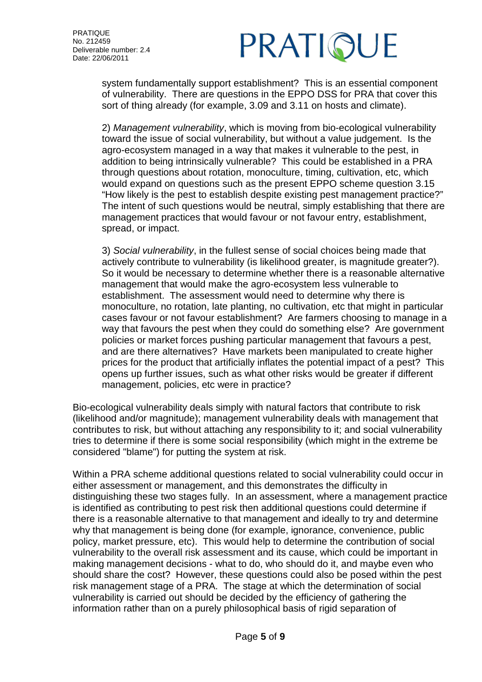# PRATIQUE

system fundamentally support establishment? This is an essential component of vulnerability. There are questions in the EPPO DSS for PRA that cover this sort of thing already (for example, 3.09 and 3.11 on hosts and climate).

2) *Management vulnerability*, which is moving from bio-ecological vulnerability toward the issue of social vulnerability, but without a value judgement. Is the agro-ecosystem managed in a way that makes it vulnerable to the pest, in addition to being intrinsically vulnerable? This could be established in a PRA through questions about rotation, monoculture, timing, cultivation, etc, which would expand on questions such as the present EPPO scheme question 3.15 "How likely is the pest to establish despite existing pest management practice?" The intent of such questions would be neutral, simply establishing that there are management practices that would favour or not favour entry, establishment, spread, or impact.

3) *Social vulnerability*, in the fullest sense of social choices being made that actively contribute to vulnerability (is likelihood greater, is magnitude greater?). So it would be necessary to determine whether there is a reasonable alternative management that would make the agro-ecosystem less vulnerable to establishment. The assessment would need to determine why there is monoculture, no rotation, late planting, no cultivation, etc that might in particular cases favour or not favour establishment? Are farmers choosing to manage in a way that favours the pest when they could do something else? Are government policies or market forces pushing particular management that favours a pest, and are there alternatives? Have markets been manipulated to create higher prices for the product that artificially inflates the potential impact of a pest? This opens up further issues, such as what other risks would be greater if different management, policies, etc were in practice?

Bio-ecological vulnerability deals simply with natural factors that contribute to risk (likelihood and/or magnitude); management vulnerability deals with management that contributes to risk, but without attaching any responsibility to it; and social vulnerability tries to determine if there is some social responsibility (which might in the extreme be considered "blame") for putting the system at risk.

Within a PRA scheme additional questions related to social vulnerability could occur in either assessment or management, and this demonstrates the difficulty in distinguishing these two stages fully. In an assessment, where a management practice is identified as contributing to pest risk then additional questions could determine if there is a reasonable alternative to that management and ideally to try and determine why that management is being done (for example, ignorance, convenience, public policy, market pressure, etc). This would help to determine the contribution of social vulnerability to the overall risk assessment and its cause, which could be important in making management decisions - what to do, who should do it, and maybe even who should share the cost? However, these questions could also be posed within the pest risk management stage of a PRA. The stage at which the determination of social vulnerability is carried out should be decided by the efficiency of gathering the information rather than on a purely philosophical basis of rigid separation of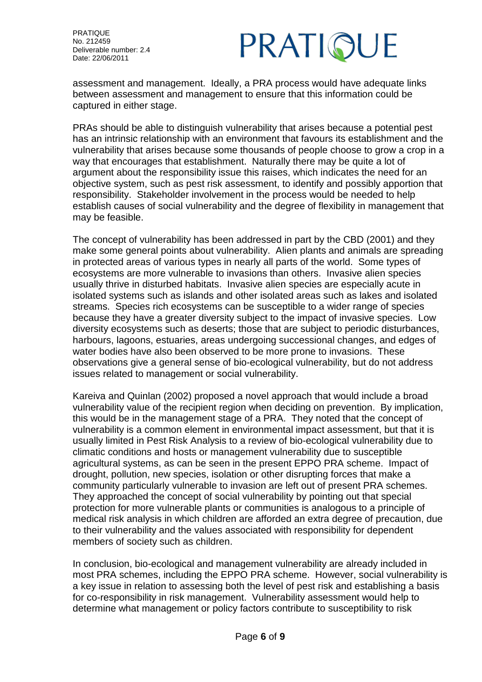

assessment and management. Ideally, a PRA process would have adequate links between assessment and management to ensure that this information could be captured in either stage.

PRAs should be able to distinguish vulnerability that arises because a potential pest has an intrinsic relationship with an environment that favours its establishment and the vulnerability that arises because some thousands of people choose to grow a crop in a way that encourages that establishment. Naturally there may be quite a lot of argument about the responsibility issue this raises, which indicates the need for an objective system, such as pest risk assessment, to identify and possibly apportion that responsibility. Stakeholder involvement in the process would be needed to help establish causes of social vulnerability and the degree of flexibility in management that may be feasible.

The concept of vulnerability has been addressed in part by the CBD (2001) and they make some general points about vulnerability. Alien plants and animals are spreading in protected areas of various types in nearly all parts of the world. Some types of ecosystems are more vulnerable to invasions than others. Invasive alien species usually thrive in disturbed habitats. Invasive alien species are especially acute in isolated systems such as islands and other isolated areas such as lakes and isolated streams. Species rich ecosystems can be susceptible to a wider range of species because they have a greater diversity subject to the impact of invasive species. Low diversity ecosystems such as deserts; those that are subject to periodic disturbances, harbours, lagoons, estuaries, areas undergoing successional changes, and edges of water bodies have also been observed to be more prone to invasions. These observations give a general sense of bio-ecological vulnerability, but do not address issues related to management or social vulnerability.

Kareiva and Quinlan (2002) proposed a novel approach that would include a broad vulnerability value of the recipient region when deciding on prevention. By implication, this would be in the management stage of a PRA. They noted that the concept of vulnerability is a common element in environmental impact assessment, but that it is usually limited in Pest Risk Analysis to a review of bio-ecological vulnerability due to climatic conditions and hosts or management vulnerability due to susceptible agricultural systems, as can be seen in the present EPPO PRA scheme. Impact of drought, pollution, new species, isolation or other disrupting forces that make a community particularly vulnerable to invasion are left out of present PRA schemes. They approached the concept of social vulnerability by pointing out that special protection for more vulnerable plants or communities is analogous to a principle of medical risk analysis in which children are afforded an extra degree of precaution, due to their vulnerability and the values associated with responsibility for dependent members of society such as children.

In conclusion, bio-ecological and management vulnerability are already included in most PRA schemes, including the EPPO PRA scheme. However, social vulnerability is a key issue in relation to assessing both the level of pest risk and establishing a basis for co-responsibility in risk management. Vulnerability assessment would help to determine what management or policy factors contribute to susceptibility to risk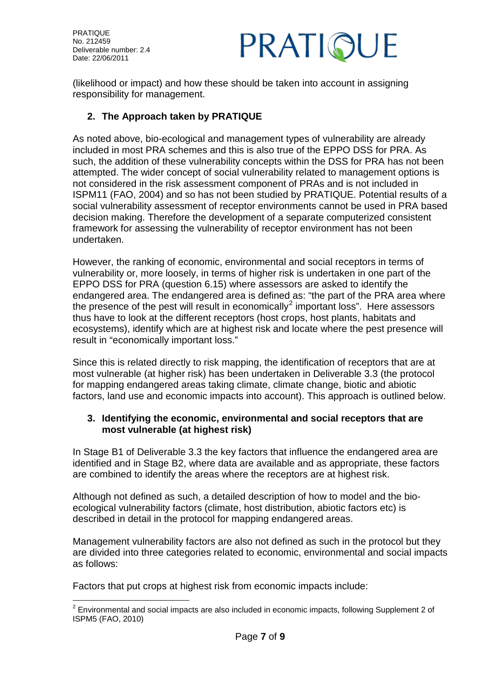

(likelihood or impact) and how these should be taken into account in assigning responsibility for management.

### <span id="page-6-0"></span>**2. The Approach taken by PRATIQUE**

As noted above, bio-ecological and management types of vulnerability are already included in most PRA schemes and this is also true of the EPPO DSS for PRA. As such, the addition of these vulnerability concepts within the DSS for PRA has not been attempted. The wider concept of social vulnerability related to management options is not considered in the risk assessment component of PRAs and is not included in ISPM11 (FAO, 2004) and so has not been studied by PRATIQUE. Potential results of a social vulnerability assessment of receptor environments cannot be used in PRA based decision making. Therefore the development of a separate computerized consistent framework for assessing the vulnerability of receptor environment has not been undertaken.

However, the ranking of economic, environmental and social receptors in terms of vulnerability or, more loosely, in terms of higher risk is undertaken in one part of the EPPO DSS for PRA (question 6.15) where assessors are asked to identify the endangered area. The endangered area is defined as: "the part of the PRA area where the presence of the pest will result in economically<sup>[2](#page-6-2)</sup> important loss". Here assessors thus have to look at the different receptors (host crops, host plants, habitats and ecosystems), identify which are at highest risk and locate where the pest presence will result in "economically important loss."

Since this is related directly to risk mapping, the identification of receptors that are at most vulnerable (at higher risk) has been undertaken in Deliverable 3.3 (the protocol for mapping endangered areas taking climate, climate change, biotic and abiotic factors, land use and economic impacts into account). This approach is outlined below.

#### <span id="page-6-1"></span>**3. Identifying the economic, environmental and social receptors that are most vulnerable (at highest risk)**

In Stage B1 of Deliverable 3.3 the key factors that influence the endangered area are identified and in Stage B2, where data are available and as appropriate, these factors are combined to identify the areas where the receptors are at highest risk.

Although not defined as such, a detailed description of how to model and the bioecological vulnerability factors (climate, host distribution, abiotic factors etc) is described in detail in the protocol for mapping endangered areas.

Management vulnerability factors are also not defined as such in the protocol but they are divided into three categories related to economic, environmental and social impacts as follows:

Factors that put crops at highest risk from economic impacts include:

<span id="page-6-2"></span> $2$  Environmental and social impacts are also included in economic impacts, following Supplement 2 of ISPM5 (FAO, 2010)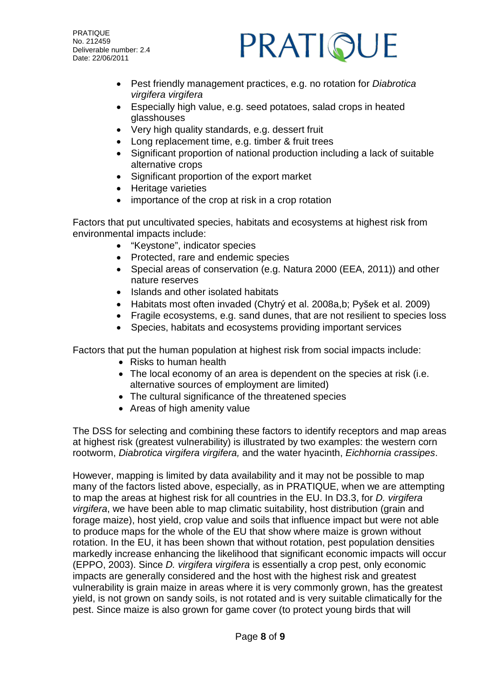# PRATIQUE

- Pest friendly management practices, e.g. no rotation for *Diabrotica virgifera virgifera*
- Especially high value, e.g. seed potatoes, salad crops in heated glasshouses
- Very high quality standards, e.g. dessert fruit
- Long replacement time, e.g. timber & fruit trees
- Significant proportion of national production including a lack of suitable alternative crops
- Significant proportion of the export market
- Heritage varieties
- importance of the crop at risk in a crop rotation

Factors that put uncultivated species, habitats and ecosystems at highest risk from environmental impacts include:

- "Keystone", indicator species
- Protected, rare and endemic species
- Special areas of conservation (e.g. Natura 2000 (EEA, 2011)) and other nature reserves
- Islands and other isolated habitats
- Habitats most often invaded (Chytrý et al. 2008a,b; Pyšek et al. 2009)
- Fragile ecosystems, e.g. sand dunes, that are not resilient to species loss
- Species, habitats and ecosystems providing important services

Factors that put the human population at highest risk from social impacts include:

- Risks to human health
- The local economy of an area is dependent on the species at risk (i.e. alternative sources of employment are limited)
- The cultural significance of the threatened species
- Areas of high amenity value

The DSS for selecting and combining these factors to identify receptors and map areas at highest risk (greatest vulnerability) is illustrated by two examples: the western corn rootworm, *Diabrotica virgifera virgifera,* and the water hyacinth, *Eichhornia crassipes*.

However, mapping is limited by data availability and it may not be possible to map many of the factors listed above, especially, as in PRATIQUE, when we are attempting to map the areas at highest risk for all countries in the EU. In D3.3, for *D. virgifera virgifera*, we have been able to map climatic suitability, host distribution (grain and forage maize), host yield, crop value and soils that influence impact but were not able to produce maps for the whole of the EU that show where maize is grown without rotation. In the EU, it has been shown that without rotation, pest population densities markedly increase enhancing the likelihood that significant economic impacts will occur (EPPO, 2003). Since *D. virgifera virgifera* is essentially a crop pest, only economic impacts are generally considered and the host with the highest risk and greatest vulnerability is grain maize in areas where it is very commonly grown, has the greatest yield, is not grown on sandy soils, is not rotated and is very suitable climatically for the pest. Since maize is also grown for game cover (to protect young birds that will